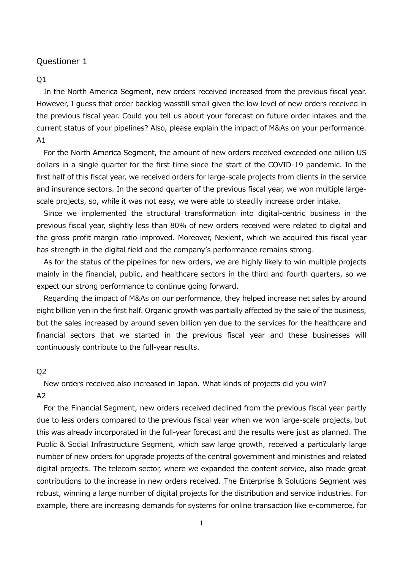#### Q1

In the North America Segment, new orders received increased from the previous fiscal year. However, I guess that order backlog wasstill small given the low level of new orders received in the previous fiscal year. Could you tell us about your forecast on future order intakes and the current status of your pipelines? Also, please explain the impact of M&As on your performance.  $A1$ 

For the North America Segment, the amount of new orders received exceeded one billion US dollars in a single quarter for the first time since the start of the COVID-19 pandemic. In the first half of this fiscal year, we received orders for large-scale projects from clients in the service and insurance sectors. In the second quarter of the previous fiscal year, we won multiple largescale projects, so, while it was not easy, we were able to steadily increase order intake.

Since we implemented the structural transformation into digital-centric business in the previous fiscal year, slightly less than 80% of new orders received were related to digital and the gross profit margin ratio improved. Moreover, Nexient, which we acquired this fiscal year has strength in the digital field and the company's performance remains strong.

As for the status of the pipelines for new orders, we are highly likely to win multiple projects mainly in the financial, public, and healthcare sectors in the third and fourth quarters, so we expect our strong performance to continue going forward.

Regarding the impact of M&As on our performance, they helped increase net sales by around eight billion yen in the first half. Organic growth was partially affected by the sale of the business, but the sales increased by around seven billion yen due to the services for the healthcare and financial sectors that we started in the previous fiscal year and these businesses will continuously contribute to the full-year results.

#### Q2

New orders received also increased in Japan. What kinds of projects did you win? A2

For the Financial Segment, new orders received declined from the previous fiscal year partly due to less orders compared to the previous fiscal year when we won large-scale projects, but this was already incorporated in the full-year forecast and the results were just as planned. The Public & Social Infrastructure Segment, which saw large growth, received a particularly large number of new orders for upgrade projects of the central government and ministries and related digital projects. The telecom sector, where we expanded the content service, also made great contributions to the increase in new orders received. The Enterprise & Solutions Segment was robust, winning a large number of digital projects for the distribution and service industries. For example, there are increasing demands for systems for online transaction like e-commerce, for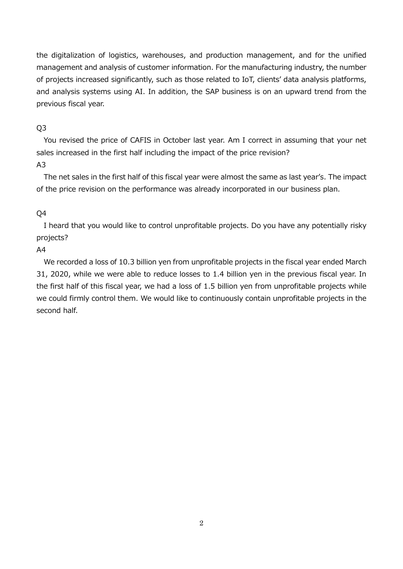the digitalization of logistics, warehouses, and production management, and for the unified management and analysis of customer information. For the manufacturing industry, the number of projects increased significantly, such as those related to IoT, clients' data analysis platforms, and analysis systems using AI. In addition, the SAP business is on an upward trend from the previous fiscal year.

## Q3

You revised the price of CAFIS in October last year. Am I correct in assuming that your net sales increased in the first half including the impact of the price revision? A3

The net sales in the first half of this fiscal year were almost the same as last year's. The impact of the price revision on the performance was already incorporated in our business plan.

# Q4

I heard that you would like to control unprofitable projects. Do you have any potentially risky projects?

# A4

We recorded a loss of 10.3 billion yen from unprofitable projects in the fiscal year ended March 31, 2020, while we were able to reduce losses to 1.4 billion yen in the previous fiscal year. In the first half of this fiscal year, we had a loss of 1.5 billion yen from unprofitable projects while we could firmly control them. We would like to continuously contain unprofitable projects in the second half.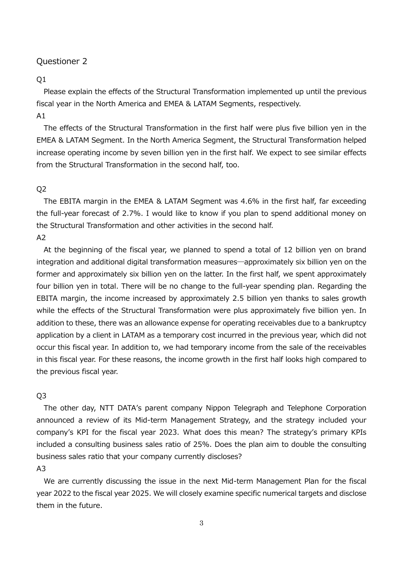#### Q1

Please explain the effects of the Structural Transformation implemented up until the previous fiscal year in the North America and EMEA & LATAM Segments, respectively. A1

The effects of the Structural Transformation in the first half were plus five billion yen in the EMEA & LATAM Segment. In the North America Segment, the Structural Transformation helped increase operating income by seven billion yen in the first half. We expect to see similar effects from the Structural Transformation in the second half, too.

### Q2

The EBITA margin in the EMEA & LATAM Segment was 4.6% in the first half, far exceeding the full-year forecast of 2.7%. I would like to know if you plan to spend additional money on the Structural Transformation and other activities in the second half.

### $A2$

At the beginning of the fiscal year, we planned to spend a total of 12 billion yen on brand integration and additional digital transformation measures―approximately six billion yen on the former and approximately six billion yen on the latter. In the first half, we spent approximately four billion yen in total. There will be no change to the full-year spending plan. Regarding the EBITA margin, the income increased by approximately 2.5 billion yen thanks to sales growth while the effects of the Structural Transformation were plus approximately five billion yen. In addition to these, there was an allowance expense for operating receivables due to a bankruptcy application by a client in LATAM as a temporary cost incurred in the previous year, which did not occur this fiscal year. In addition to, we had temporary income from the sale of the receivables in this fiscal year. For these reasons, the income growth in the first half looks high compared to the previous fiscal year.

### Q3

The other day, NTT DATA's parent company Nippon Telegraph and Telephone Corporation announced a review of its Mid-term Management Strategy, and the strategy included your company's KPI for the fiscal year 2023. What does this mean? The strategy's primary KPIs included a consulting business sales ratio of 25%. Does the plan aim to double the consulting business sales ratio that your company currently discloses?

# A3

We are currently discussing the issue in the next Mid-term Management Plan for the fiscal year 2022 to the fiscal year 2025. We will closely examine specific numerical targets and disclose them in the future.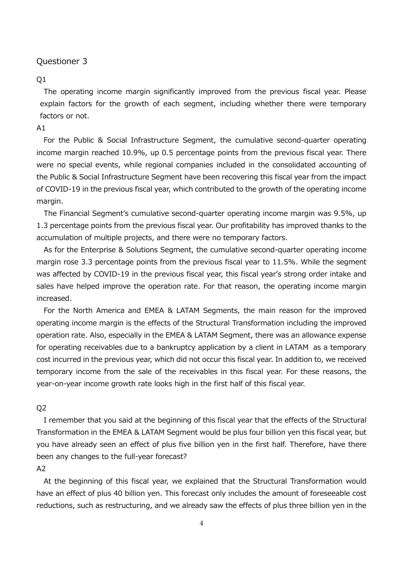#### $O<sub>1</sub>$

The operating income margin significantly improved from the previous fiscal year. Please explain factors for the growth of each segment, including whether there were temporary factors or not.

#### A1

For the Public & Social Infrastructure Segment, the cumulative second-quarter operating income margin reached 10.9%, up 0.5 percentage points from the previous fiscal year. There were no special events, while regional companies included in the consolidated accounting of the Public & Social Infrastructure Segment have been recovering this fiscal year from the impact of COVID-19 in the previous fiscal year, which contributed to the growth of the operating income margin.

The Financial Segment's cumulative second-quarter operating income margin was 9.5%, up 1.3 percentage points from the previous fiscal year. Our profitability has improved thanks to the accumulation of multiple projects, and there were no temporary factors.

As for the Enterprise & Solutions Segment, the cumulative second-quarter operating income margin rose 3.3 percentage points from the previous fiscal year to 11.5%. While the segment was affected by COVID-19 in the previous fiscal year, this fiscal year's strong order intake and sales have helped improve the operation rate. For that reason, the operating income margin increased.

For the North America and EMEA & LATAM Segments, the main reason for the improved operating income margin is the effects of the Structural Transformation including the improved operation rate. Also, especially in the EMEA & LATAM Segment, there was an allowance expense for operating receivables due to a bankruptcy application by a client in LATAM as a temporary cost incurred in the previous year, which did not occur this fiscal year. In addition to, we received temporary income from the sale of the receivables in this fiscal year. For these reasons, the year-on-year income growth rate looks high in the first half of this fiscal year.

#### Q2

I remember that you said at the beginning of this fiscal year that the effects of the Structural Transformation in the EMEA & LATAM Segment would be plus four billion yen this fiscal year, but you have already seen an effect of plus five billion yen in the first half. Therefore, have there been any changes to the full-year forecast?

### A2

At the beginning of this fiscal year, we explained that the Structural Transformation would have an effect of plus 40 billion yen. This forecast only includes the amount of foreseeable cost reductions, such as restructuring, and we already saw the effects of plus three billion yen in the

4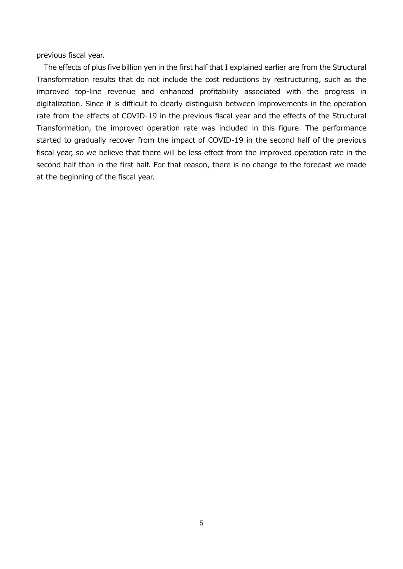previous fiscal year.

The effects of plus five billion yen in the first half that I explained earlier are from the Structural Transformation results that do not include the cost reductions by restructuring, such as the improved top-line revenue and enhanced profitability associated with the progress in digitalization. Since it is difficult to clearly distinguish between improvements in the operation rate from the effects of COVID-19 in the previous fiscal year and the effects of the Structural Transformation, the improved operation rate was included in this figure. The performance started to gradually recover from the impact of COVID-19 in the second half of the previous fiscal year, so we believe that there will be less effect from the improved operation rate in the second half than in the first half. For that reason, there is no change to the forecast we made at the beginning of the fiscal year.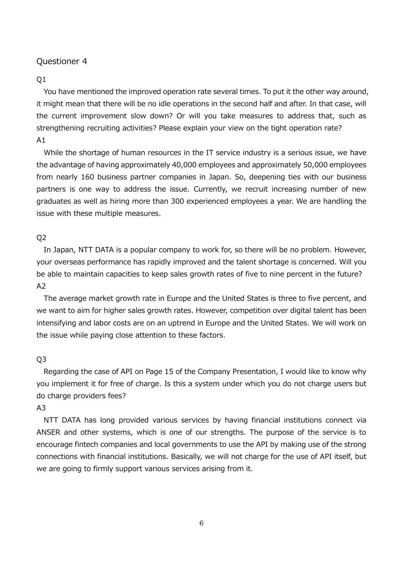# $O<sub>1</sub>$

You have mentioned the improved operation rate several times. To put it the other way around, it might mean that there will be no idle operations in the second half and after. In that case, will the current improvement slow down? Or will you take measures to address that, such as strengthening recruiting activities? Please explain your view on the tight operation rate?  $A1$ 

While the shortage of human resources in the IT service industry is a serious issue, we have the advantage of having approximately 40,000 employees and approximately 50,000 employees from nearly 160 business partner companies in Japan. So, deepening ties with our business partners is one way to address the issue. Currently, we recruit increasing number of new graduates as well as hiring more than 300 experienced employees a year. We are handling the issue with these multiple measures.

# Q2

In Japan, NTT DATA is a popular company to work for, so there will be no problem. However, your overseas performance has rapidly improved and the talent shortage is concerned. Will you be able to maintain capacities to keep sales growth rates of five to nine percent in the future? A2

The average market growth rate in Europe and the United States is three to five percent, and we want to aim for higher sales growth rates. However, competition over digital talent has been intensifying and labor costs are on an uptrend in Europe and the United States. We will work on the issue while paying close attention to these factors.

# Q3

Regarding the case of API on Page 15 of the Company Presentation, I would like to know why you implement it for free of charge. Is this a system under which you do not charge users but do charge providers fees?

# A3

NTT DATA has long provided various services by having financial institutions connect via ANSER and other systems, which is one of our strengths. The purpose of the service is to encourage fintech companies and local governments to use the API by making use of the strong connections with financial institutions. Basically, we will not charge for the use of API itself, but we are going to firmly support various services arising from it.

6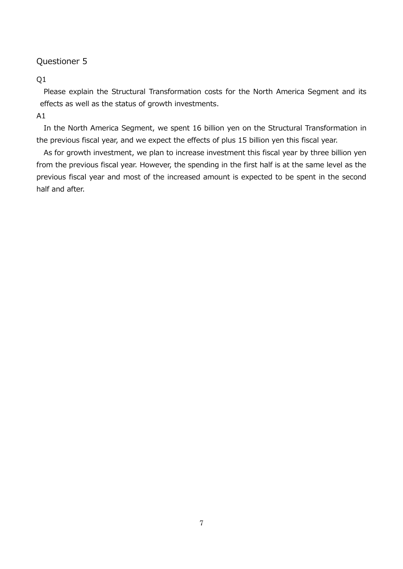# Q1

Please explain the Structural Transformation costs for the North America Segment and its effects as well as the status of growth investments.

# $A1$

In the North America Segment, we spent 16 billion yen on the Structural Transformation in the previous fiscal year, and we expect the effects of plus 15 billion yen this fiscal year.

As for growth investment, we plan to increase investment this fiscal year by three billion yen from the previous fiscal year. However, the spending in the first half is at the same level as the previous fiscal year and most of the increased amount is expected to be spent in the second half and after.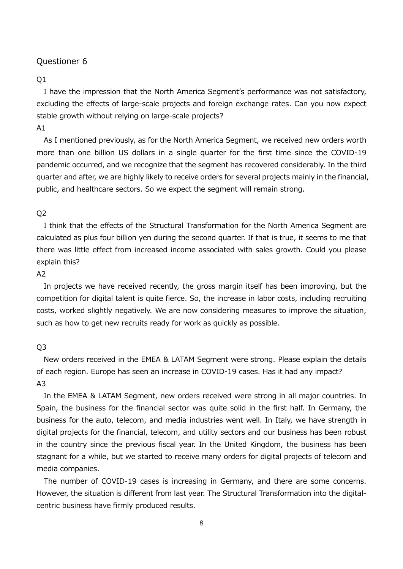#### Q1

I have the impression that the North America Segment's performance was not satisfactory, excluding the effects of large-scale projects and foreign exchange rates. Can you now expect stable growth without relying on large-scale projects?

# A1

As I mentioned previously, as for the North America Segment, we received new orders worth more than one billion US dollars in a single quarter for the first time since the COVID-19 pandemic occurred, and we recognize that the segment has recovered considerably. In the third quarter and after, we are highly likely to receive orders for several projects mainly in the financial, public, and healthcare sectors. So we expect the segment will remain strong.

### Q2

I think that the effects of the Structural Transformation for the North America Segment are calculated as plus four billion yen during the second quarter. If that is true, it seems to me that there was little effect from increased income associated with sales growth. Could you please explain this?

### $A2$

In projects we have received recently, the gross margin itself has been improving, but the competition for digital talent is quite fierce. So, the increase in labor costs, including recruiting costs, worked slightly negatively. We are now considering measures to improve the situation, such as how to get new recruits ready for work as quickly as possible.

### Q3

New orders received in the EMEA & LATAM Segment were strong. Please explain the details of each region. Europe has seen an increase in COVID-19 cases. Has it had any impact? A3

In the EMEA & LATAM Segment, new orders received were strong in all major countries. In Spain, the business for the financial sector was quite solid in the first half. In Germany, the business for the auto, telecom, and media industries went well. In Italy, we have strength in digital projects for the financial, telecom, and utility sectors and our business has been robust in the country since the previous fiscal year. In the United Kingdom, the business has been stagnant for a while, but we started to receive many orders for digital projects of telecom and media companies.

The number of COVID-19 cases is increasing in Germany, and there are some concerns. However, the situation is different from last year. The Structural Transformation into the digitalcentric business have firmly produced results.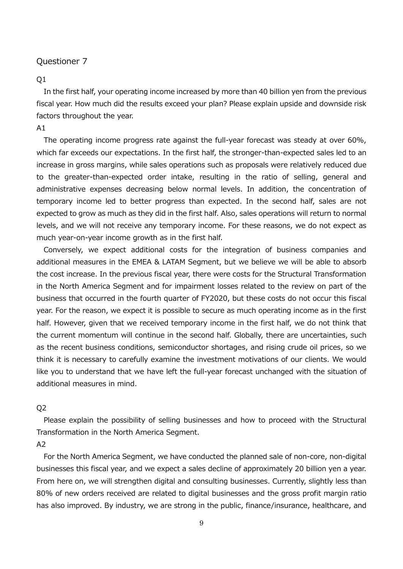#### Q1

In the first half, your operating income increased by more than 40 billion yen from the previous fiscal year. How much did the results exceed your plan? Please explain upside and downside risk factors throughout the year.

## $A1$

The operating income progress rate against the full-year forecast was steady at over 60%, which far exceeds our expectations. In the first half, the stronger-than-expected sales led to an increase in gross margins, while sales operations such as proposals were relatively reduced due to the greater-than-expected order intake, resulting in the ratio of selling, general and administrative expenses decreasing below normal levels. In addition, the concentration of temporary income led to better progress than expected. In the second half, sales are not expected to grow as much as they did in the first half. Also, sales operations will return to normal levels, and we will not receive any temporary income. For these reasons, we do not expect as much year-on-year income growth as in the first half.

Conversely, we expect additional costs for the integration of business companies and additional measures in the EMEA & LATAM Segment, but we believe we will be able to absorb the cost increase. In the previous fiscal year, there were costs for the Structural Transformation in the North America Segment and for impairment losses related to the review on part of the business that occurred in the fourth quarter of FY2020, but these costs do not occur this fiscal year. For the reason, we expect it is possible to secure as much operating income as in the first half. However, given that we received temporary income in the first half, we do not think that the current momentum will continue in the second half. Globally, there are uncertainties, such as the recent business conditions, semiconductor shortages, and rising crude oil prices, so we think it is necessary to carefully examine the investment motivations of our clients. We would like you to understand that we have left the full-year forecast unchanged with the situation of additional measures in mind.

#### Q2

Please explain the possibility of selling businesses and how to proceed with the Structural Transformation in the North America Segment.

## A2

For the North America Segment, we have conducted the planned sale of non-core, non-digital businesses this fiscal year, and we expect a sales decline of approximately 20 billion yen a year. From here on, we will strengthen digital and consulting businesses. Currently, slightly less than 80% of new orders received are related to digital businesses and the gross profit margin ratio has also improved. By industry, we are strong in the public, finance/insurance, healthcare, and

9